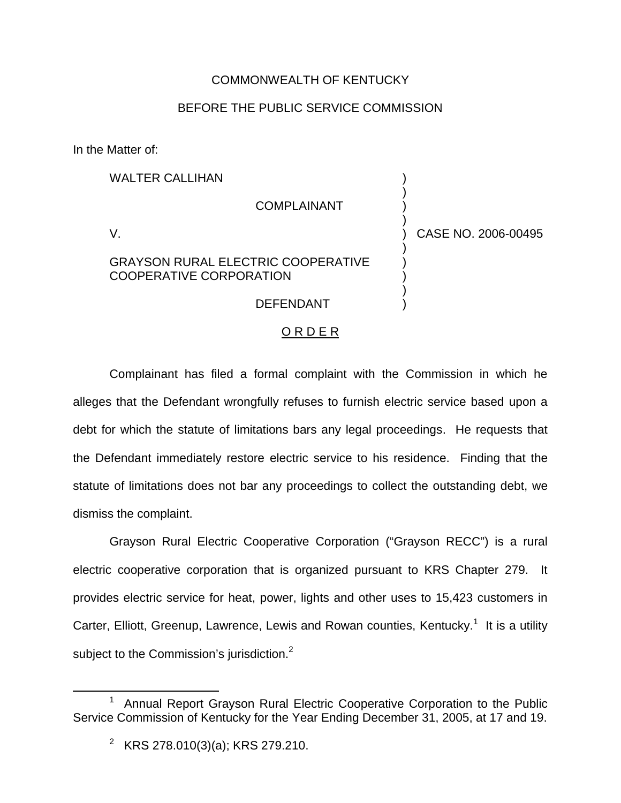## COMMONWEALTH OF KENTUCKY

## BEFORE THE PUBLIC SERVICE COMMISSION

In the Matter of:

| <b>WALTER CALLIHAN</b>                                                      |                     |
|-----------------------------------------------------------------------------|---------------------|
| <b>COMPLAINANT</b>                                                          |                     |
|                                                                             | CASE NO. 2006-00495 |
| <b>GRAYSON RURAL ELECTRIC COOPERATIVE</b><br><b>COOPERATIVE CORPORATION</b> |                     |
| DEFENDANT                                                                   |                     |

## O R D E R

Complainant has filed a formal complaint with the Commission in which he alleges that the Defendant wrongfully refuses to furnish electric service based upon a debt for which the statute of limitations bars any legal proceedings. He requests that the Defendant immediately restore electric service to his residence. Finding that the statute of limitations does not bar any proceedings to collect the outstanding debt, we dismiss the complaint.

Grayson Rural Electric Cooperative Corporation ("Grayson RECC") is a rural electric cooperative corporation that is organized pursuant to KRS Chapter 279. It provides electric service for heat, power, lights and other uses to 15,423 customers in Carter, Elliott, Greenup, Lawrence, Lewis and Rowan counties, Kentucky.<sup>1</sup> It is a utility subject to the Commission's jurisdiction.<sup>2</sup>

<sup>&</sup>lt;sup>1</sup> Annual Report Grayson Rural Electric Cooperative Corporation to the Public Service Commission of Kentucky for the Year Ending December 31, 2005, at 17 and 19.

<sup>&</sup>lt;sup>2</sup> KRS 278.010(3)(a); KRS 279.210.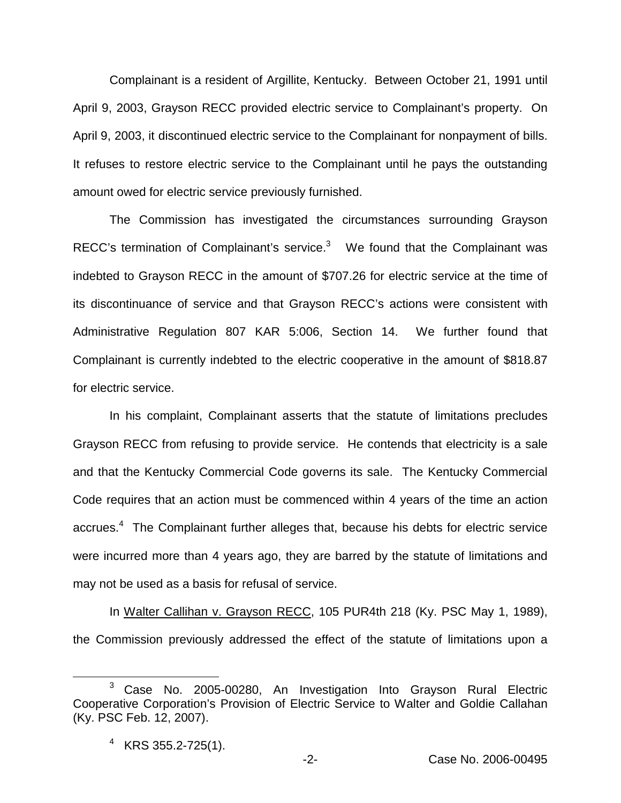Complainant is a resident of Argillite, Kentucky. Between October 21, 1991 until April 9, 2003, Grayson RECC provided electric service to Complainant's property. On April 9, 2003, it discontinued electric service to the Complainant for nonpayment of bills. It refuses to restore electric service to the Complainant until he pays the outstanding amount owed for electric service previously furnished.

The Commission has investigated the circumstances surrounding Grayson RECC's termination of Complainant's service.<sup>3</sup> We found that the Complainant was indebted to Grayson RECC in the amount of \$707.26 for electric service at the time of its discontinuance of service and that Grayson RECC's actions were consistent with Administrative Regulation 807 KAR 5:006, Section 14. We further found that Complainant is currently indebted to the electric cooperative in the amount of \$818.87 for electric service.

In his complaint, Complainant asserts that the statute of limitations precludes Grayson RECC from refusing to provide service. He contends that electricity is a sale and that the Kentucky Commercial Code governs its sale. The Kentucky Commercial Code requires that an action must be commenced within 4 years of the time an action accrues.<sup>4</sup> The Complainant further alleges that, because his debts for electric service were incurred more than 4 years ago, they are barred by the statute of limitations and may not be used as a basis for refusal of service.

In Walter Callihan v. Grayson RECC, 105 PUR4th 218 (Ky. PSC May 1, 1989), the Commission previously addressed the effect of the statute of limitations upon a

<sup>3</sup> Case No. 2005-00280, An Investigation Into Grayson Rural Electric Cooperative Corporation's Provision of Electric Service to Walter and Goldie Callahan (Ky. PSC Feb. 12, 2007).

 $4$  KRS 355.2-725(1).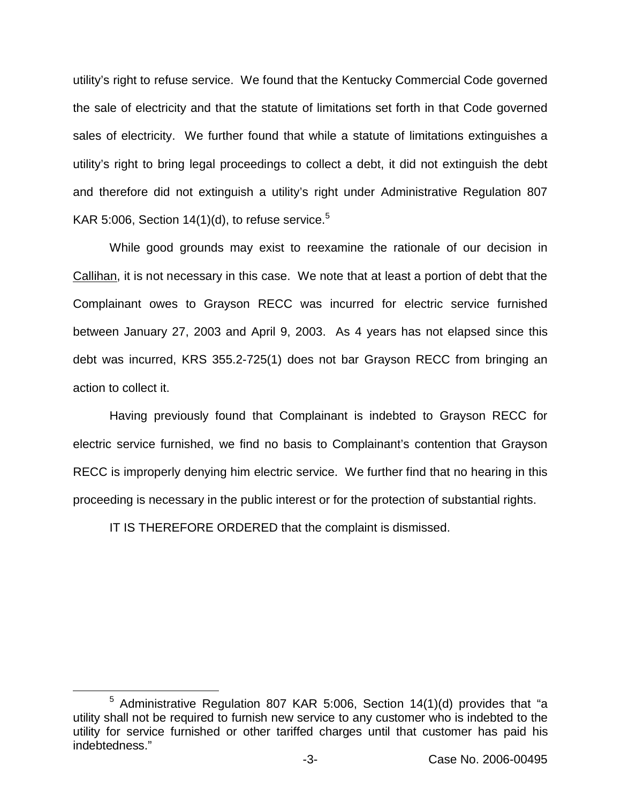utility's right to refuse service. We found that the Kentucky Commercial Code governed the sale of electricity and that the statute of limitations set forth in that Code governed sales of electricity. We further found that while a statute of limitations extinguishes a utility's right to bring legal proceedings to collect a debt, it did not extinguish the debt and therefore did not extinguish a utility's right under Administrative Regulation 807 KAR 5:006, Section  $14(1)(d)$ , to refuse service.<sup>5</sup>

While good grounds may exist to reexamine the rationale of our decision in Callihan, it is not necessary in this case. We note that at least a portion of debt that the Complainant owes to Grayson RECC was incurred for electric service furnished between January 27, 2003 and April 9, 2003. As 4 years has not elapsed since this debt was incurred, KRS 355.2-725(1) does not bar Grayson RECC from bringing an action to collect it.

Having previously found that Complainant is indebted to Grayson RECC for electric service furnished, we find no basis to Complainant's contention that Grayson RECC is improperly denying him electric service. We further find that no hearing in this proceeding is necessary in the public interest or for the protection of substantial rights.

IT IS THEREFORE ORDERED that the complaint is dismissed.

 $5$  Administrative Regulation 807 KAR 5:006, Section 14(1)(d) provides that "a utility shall not be required to furnish new service to any customer who is indebted to the utility for service furnished or other tariffed charges until that customer has paid his indebtedness."